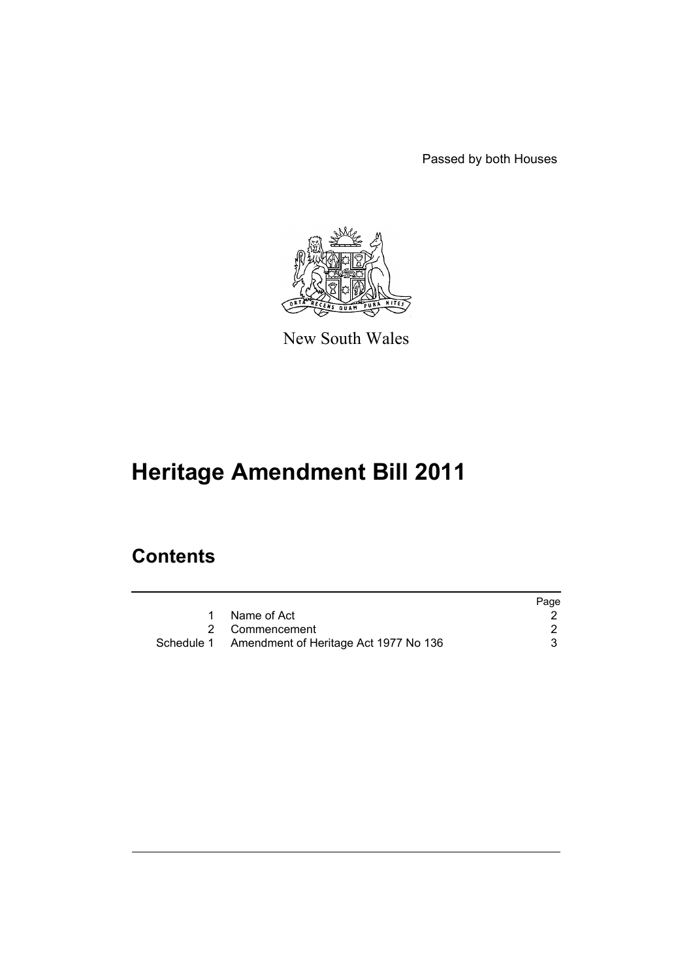Passed by both Houses



New South Wales

# **Heritage Amendment Bill 2011**

## **Contents**

|                                                  | Page |
|--------------------------------------------------|------|
| Name of Act                                      |      |
| 2 Commencement                                   |      |
| Schedule 1 Amendment of Heritage Act 1977 No 136 |      |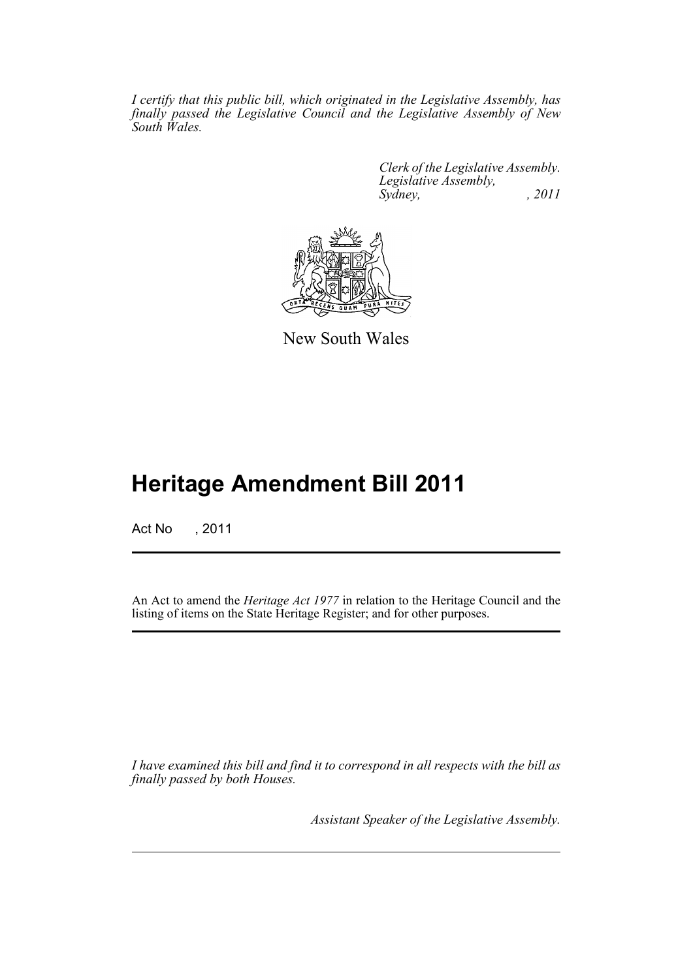*I certify that this public bill, which originated in the Legislative Assembly, has finally passed the Legislative Council and the Legislative Assembly of New South Wales.*

> *Clerk of the Legislative Assembly. Legislative Assembly, Sydney, , 2011*



New South Wales

## **Heritage Amendment Bill 2011**

Act No , 2011

An Act to amend the *Heritage Act 1977* in relation to the Heritage Council and the listing of items on the State Heritage Register; and for other purposes.

*I have examined this bill and find it to correspond in all respects with the bill as finally passed by both Houses.*

*Assistant Speaker of the Legislative Assembly.*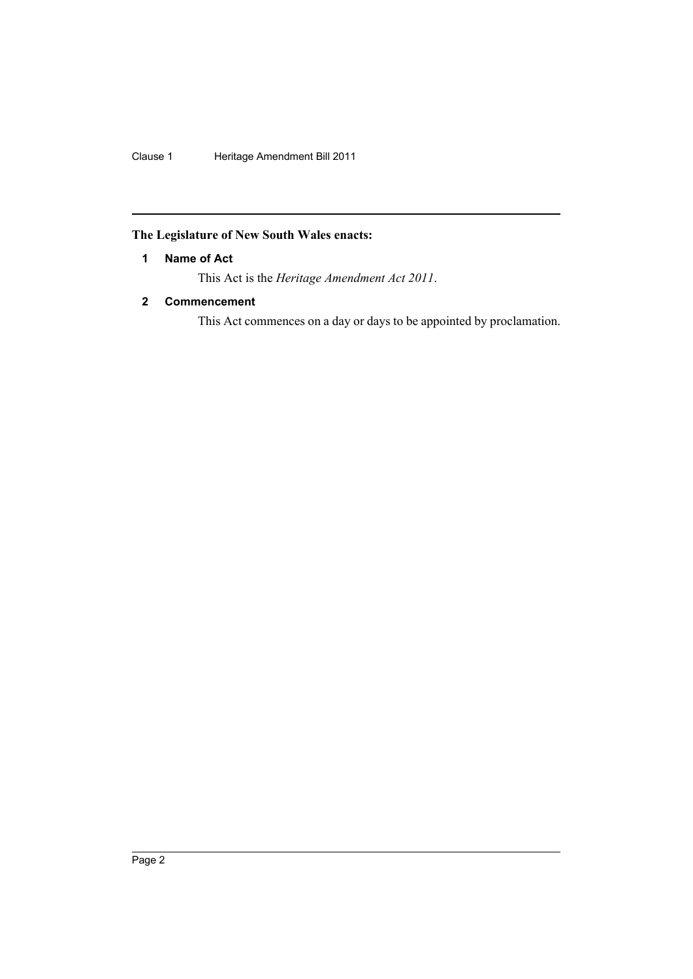Clause 1 Heritage Amendment Bill 2011

## <span id="page-3-0"></span>**The Legislature of New South Wales enacts:**

## **1 Name of Act**

This Act is the *Heritage Amendment Act 2011*.

## <span id="page-3-1"></span>**2 Commencement**

This Act commences on a day or days to be appointed by proclamation.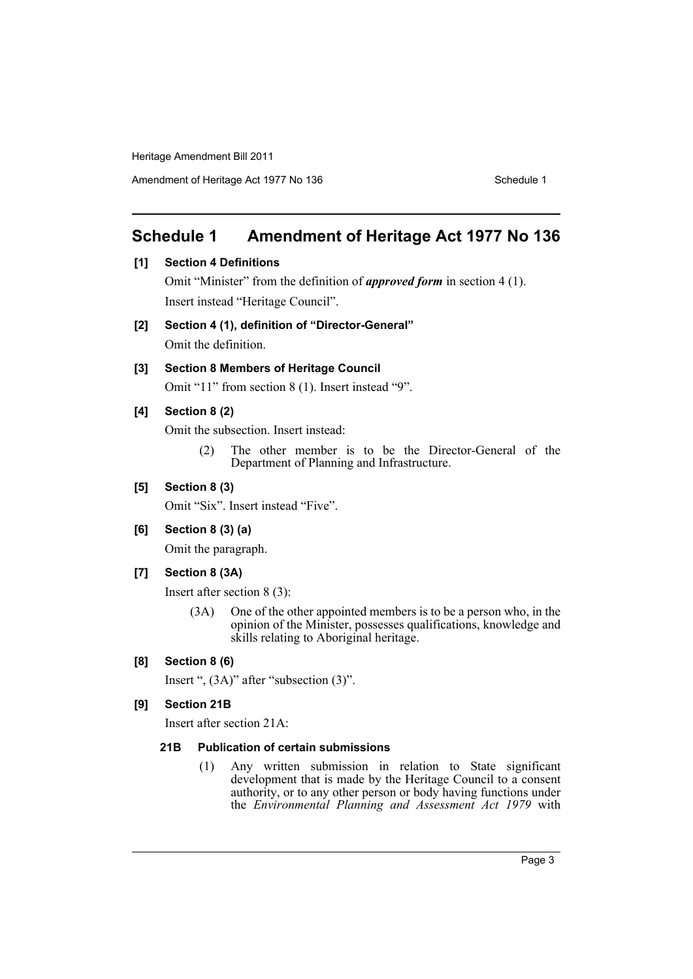## <span id="page-4-0"></span>**Schedule 1 Amendment of Heritage Act 1977 No 136**

## **[1] Section 4 Definitions**

Omit "Minister" from the definition of *approved form* in section 4 (1). Insert instead "Heritage Council".

**[2] Section 4 (1), definition of "Director-General"**

Omit the definition.

## **[3] Section 8 Members of Heritage Council**

Omit "11" from section 8 (1). Insert instead "9".

#### **[4] Section 8 (2)**

Omit the subsection. Insert instead:

(2) The other member is to be the Director-General of the Department of Planning and Infrastructure.

#### **[5] Section 8 (3)**

Omit "Six". Insert instead "Five".

#### **[6] Section 8 (3) (a)**

Omit the paragraph.

#### **[7] Section 8 (3A)**

Insert after section 8 (3):

(3A) One of the other appointed members is to be a person who, in the opinion of the Minister, possesses qualifications, knowledge and skills relating to Aboriginal heritage.

#### **[8] Section 8 (6)**

Insert ", (3A)" after "subsection (3)".

#### **[9] Section 21B**

Insert after section 21A:

#### **21B Publication of certain submissions**

(1) Any written submission in relation to State significant development that is made by the Heritage Council to a consent authority, or to any other person or body having functions under the *Environmental Planning and Assessment Act 1979* with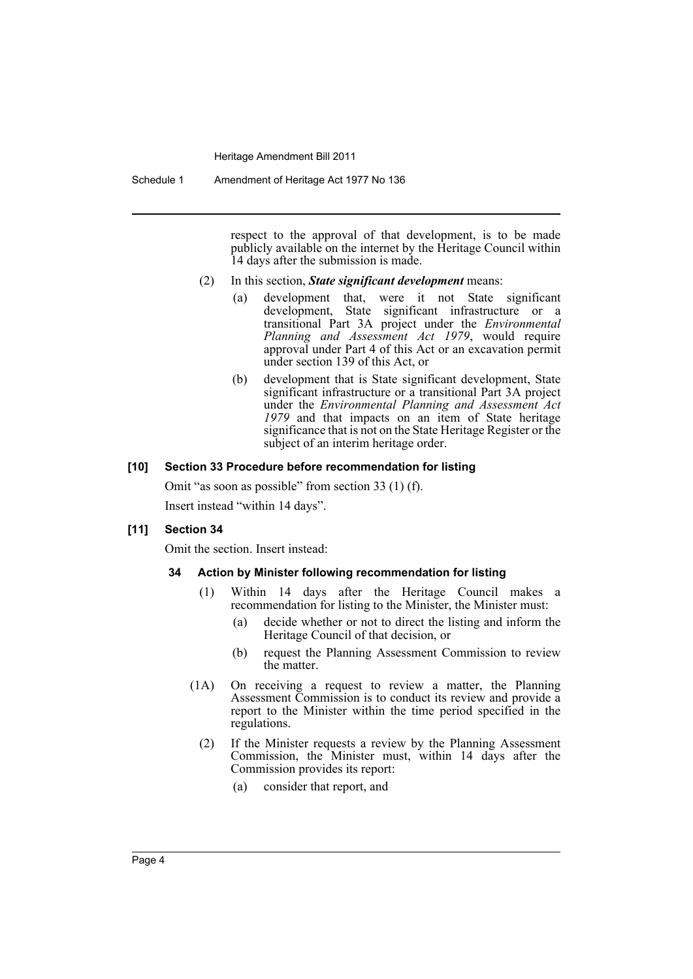Schedule 1 Amendment of Heritage Act 1977 No 136

respect to the approval of that development, is to be made publicly available on the internet by the Heritage Council within 14 days after the submission is made.

- (2) In this section, *State significant development* means:
	- (a) development that, were it not State significant development, State significant infrastructure or a transitional Part 3A project under the *Environmental Planning and Assessment Act 1979*, would require approval under Part 4 of this Act or an excavation permit under section 139 of this Act, or
	- (b) development that is State significant development, State significant infrastructure or a transitional Part 3A project under the *Environmental Planning and Assessment Act 1979* and that impacts on an item of State heritage significance that is not on the State Heritage Register or the subject of an interim heritage order.

#### **[10] Section 33 Procedure before recommendation for listing**

Omit "as soon as possible" from section 33 (1) (f). Insert instead "within 14 days".

#### **[11] Section 34**

Omit the section. Insert instead:

#### **34 Action by Minister following recommendation for listing**

- (1) Within 14 days after the Heritage Council makes a recommendation for listing to the Minister, the Minister must:
	- (a) decide whether or not to direct the listing and inform the Heritage Council of that decision, or
	- (b) request the Planning Assessment Commission to review the matter.
- (1A) On receiving a request to review a matter, the Planning Assessment Commission is to conduct its review and provide a report to the Minister within the time period specified in the regulations.
	- (2) If the Minister requests a review by the Planning Assessment Commission, the Minister must, within 14 days after the Commission provides its report:
		- (a) consider that report, and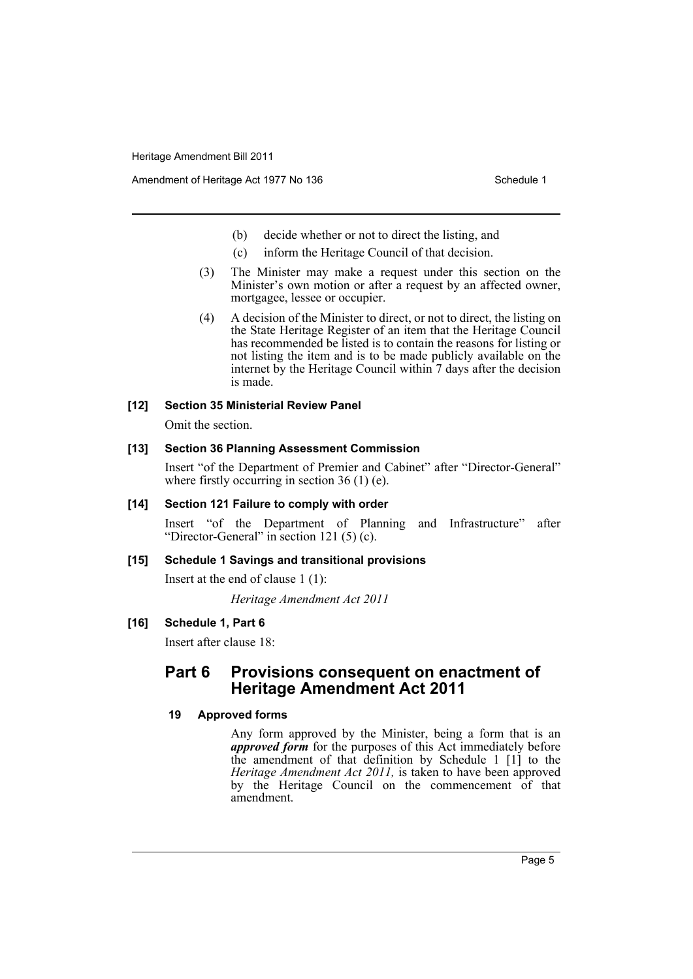- (b) decide whether or not to direct the listing, and
- (c) inform the Heritage Council of that decision.
- (3) The Minister may make a request under this section on the Minister's own motion or after a request by an affected owner, mortgagee, lessee or occupier.
- (4) A decision of the Minister to direct, or not to direct, the listing on the State Heritage Register of an item that the Heritage Council has recommended be listed is to contain the reasons for listing or not listing the item and is to be made publicly available on the internet by the Heritage Council within 7 days after the decision is made.

## **[12] Section 35 Ministerial Review Panel**

Omit the section.

#### **[13] Section 36 Planning Assessment Commission**

Insert "of the Department of Premier and Cabinet" after "Director-General" where firstly occurring in section 36 (1) (e).

#### **[14] Section 121 Failure to comply with order**

Insert "of the Department of Planning and Infrastructure" after "Director-General" in section 121 (5) (c).

## **[15] Schedule 1 Savings and transitional provisions**

Insert at the end of clause 1 (1):

*Heritage Amendment Act 2011*

## **[16] Schedule 1, Part 6**

Insert after clause 18:

## **Part 6 Provisions consequent on enactment of Heritage Amendment Act 2011**

#### **19 Approved forms**

Any form approved by the Minister, being a form that is an *approved form* for the purposes of this Act immediately before the amendment of that definition by Schedule 1 [1] to the *Heritage Amendment Act 2011,* is taken to have been approved by the Heritage Council on the commencement of that amendment.